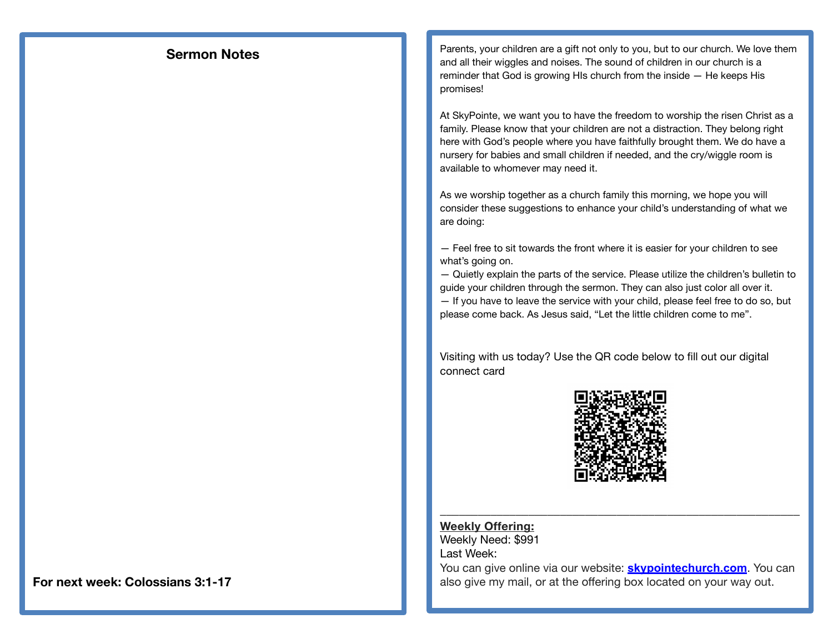## **Sermon Notes**

Parents, your children are a gift not only to you, but to our church. We love them and all their wiggles and noises. The sound of children in our church is a reminder that God is growing HIs church from the inside — He keeps His promises!

At SkyPointe, we want you to have the freedom to worship the risen Christ as a family. Please know that your children are not a distraction. They belong right here with God's people where you have faithfully brought them. We do have a nursery for babies and small children if needed, and the cry/wiggle room is available to whomever may need it.

As we worship together as a church family this morning, we hope you will consider these suggestions to enhance your child's understanding of what we are doing:

— Feel free to sit towards the front where it is easier for your children to see what's going on.

— Quietly explain the parts of the service. Please utilize the children's bulletin to guide your children through the sermon. They can also just color all over it. — If you have to leave the service with your child, please feel free to do so, but please come back. As Jesus said, "Let the little children come to me".

Visiting with us today? Use the QR code below to fill out our digital connect card



**Weekly Offering:**  Weekly Need: \$991 Last Week:

You can give online via our website: **[skypointechurch.com](http://skypointechurch.com)**. You can also give my mail, or at the offering box located on your way out.

\_\_\_\_\_\_\_\_\_\_\_\_\_\_\_\_\_\_\_\_\_\_\_\_\_\_\_\_\_\_\_\_\_\_\_\_\_\_\_\_\_\_\_\_\_\_\_\_\_\_\_\_\_\_\_\_\_